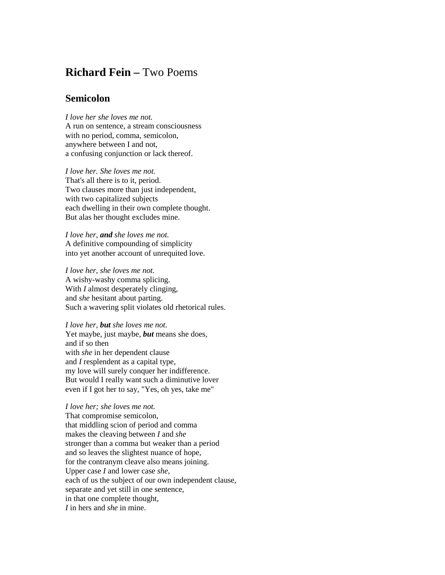## **Richard Fein –** Two Poems

## **Semicolon**

*I love her she loves me not.* A run on sentence, a stream consciousness with no period, comma, semicolon, anywhere between I and not, a confusing conjunction or lack thereof.

*I love her. She loves me not.* That's all there is to it, period. Two clauses more than just independent, with two capitalized subjects each dwelling in their own complete thought. But alas her thought excludes mine.

*I love her, and she loves me not.* A definitive compounding of simplicity into yet another account of unrequited love.

*I love her, she loves me not.* A wishy-washy comma splicing. With *I* almost desperately clinging, and *she* hesitant about parting. Such a wavering split violates old rhetorical rules.

*I love her, but she loves me not.* Yet maybe, just maybe, *but* means she does, and if so then with *she* in her dependent clause and *I* resplendent as a capital type, my love will surely conquer her indifference. But would I really want such a diminutive lover even if I got her to say, "Yes, oh yes, take me"

*I love her; she loves me not.* That compromise semicolon, that middling scion of period and comma makes the cleaving between *I* and *she* stronger than a comma but weaker than a period and so leaves the slightest nuance of hope, for the contranym cleave also means joining. Upper case *I* and lower case *she*, each of us the subject of our own independent clause, separate and yet still in one sentence, in that one complete thought, *I* in hers and *she* in mine.